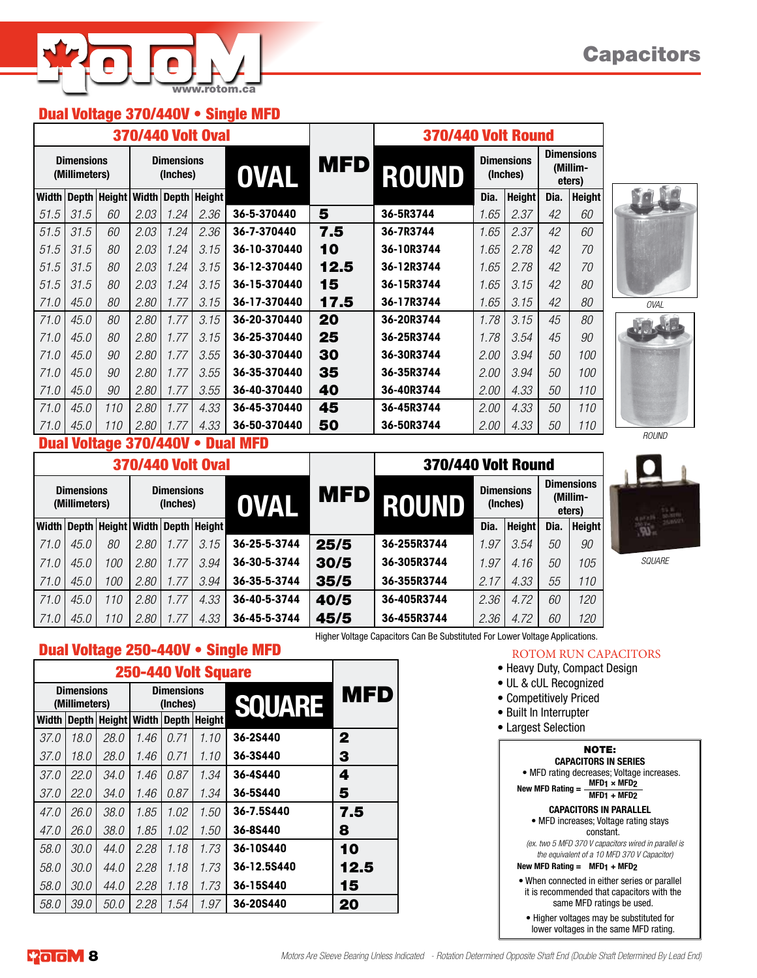## Dual Voltage 370/440V • Single MFD

|                                    |      |                        |                               |              | <b>370/440 Volt Oval</b> |              |            | <b>370/440 Volt Round</b> |      |                               |                                         |               |  |
|------------------------------------|------|------------------------|-------------------------------|--------------|--------------------------|--------------|------------|---------------------------|------|-------------------------------|-----------------------------------------|---------------|--|
| <b>Dimensions</b><br>(Millimeters) |      |                        | <b>Dimensions</b><br>(Inches) |              |                          | <b>OVAL</b>  | <b>MFD</b> | <b>ROUND</b>              |      | <b>Dimensions</b><br>(Inches) | <b>Dimensions</b><br>(Millim-<br>eters) |               |  |
| <b>Width</b>                       |      | Depth   Height   Width |                               | <b>Depth</b> | <b>Height</b>            |              |            |                           | Dia. | <b>Height</b>                 | Dia.                                    | <b>Height</b> |  |
| 51.5                               | 31.5 | 60                     | 2.03                          | 1.24         | 2.36                     | 36-5-370440  | 5          | 36-5R3744                 | 1.65 | 2.37                          | 42                                      | 60            |  |
| 51.5                               | 31.5 | 60                     | 2.03                          | 1.24         | 2.36                     | 36-7-370440  | 7.5        | 36-7R3744                 | 1.65 | 2.37                          | 42                                      | 60            |  |
| 51.5                               | 31.5 | 80                     | 2.03                          | 1.24         | 3.15                     | 36-10-370440 | 10         | 36-10R3744                | 1.65 | 2.78                          | 42                                      | 70            |  |
| 51.5                               | 31.5 | 80                     | 2.03                          | 1.24         | 3.15                     | 36-12-370440 | 12.5       | 36-12R3744                | 1.65 | 2.78                          | 42                                      | 70            |  |
| 51.5                               | 31.5 | 80                     | 2.03                          | 1.24         | 3.15                     | 36-15-370440 | 15         | 36-15R3744                | 1.65 | 3.15                          | 42                                      | 80            |  |
| 71.0                               | 45.0 | 80                     | 2.80                          | 1.77         | 3.15                     | 36-17-370440 | 17.5       | 36-17R3744                | 1.65 | 3.15                          | 42                                      | 80            |  |
| 71.0                               | 45.0 | 80                     | 2.80                          | 1.77         | 3.15                     | 36-20-370440 | 20         | 36-20R3744                | 1.78 | 3.15                          | 45                                      | 80            |  |
| 71.0                               | 45.0 | 80                     | 2.80                          | 1.77         | 3.15                     | 36-25-370440 | 25         | 36-25R3744                | 1.78 | 3.54                          | 45                                      | 90            |  |
| 71.0                               | 45.0 | 90                     | 2.80                          | 1.77         | 3.55                     | 36-30-370440 | 30         | 36-30R3744                | 2.00 | 3.94                          | 50                                      | 100           |  |
| 71.0                               | 45.0 | 90                     | 2.80                          | 1.77         | 3.55                     | 36-35-370440 | 35         | 36-35R3744                | 2.00 | 3.94                          | 50                                      | 100           |  |
| 71.0                               | 45.0 | 90                     | 2.80                          | 1.77         | 3.55                     | 36-40-370440 | 40         | 36-40R3744                | 2.00 | 4.33                          | 50                                      | 110           |  |
| 71.0                               | 45.0 | 110                    | 2.80                          | 1.77         | 4.33                     | 36-45-370440 | 45         | 36-45R3744                | 2.00 | 4.33                          | 50                                      | 110           |  |
| 71.0                               | 45.0 | 110                    | 2.80                          | 1.77         | 4.33                     | 36-50-370440 | 50         | 36-50R3744                | 2.00 | 4.33                          | 50                                      | 110           |  |





*SQUARE*

## Dual Voltage 370/440V • Dual MFD

|                                    |      |     |                               |     | <b>370/440 Volt Oval</b>                        |              |            | <b>370/440 Volt Round</b> |                               |               |                                         |               |  |  |
|------------------------------------|------|-----|-------------------------------|-----|-------------------------------------------------|--------------|------------|---------------------------|-------------------------------|---------------|-----------------------------------------|---------------|--|--|
| <b>Dimensions</b><br>(Millimeters) |      |     | <b>Dimensions</b><br>(Inches) |     |                                                 | <b>OVAL</b>  | <b>MFD</b> | ROUND                     | <b>Dimensions</b><br>(Inches) |               | <b>Dimensions</b><br>(Millim-<br>eters) |               |  |  |
|                                    |      |     |                               |     | Width   Depth   Height   Width   Depth   Height |              |            |                           | Dia.                          | <b>Height</b> | Dia.                                    | <b>Height</b> |  |  |
| 71.0                               | 45.0 | 80  | 2.80                          | .77 | 3.15                                            | 36-25-5-3744 | 25/5       | 36-255R3744               | .97                           | 3.54          | 50                                      | 90            |  |  |
| 71.0                               | 45.0 | 100 | 2.80                          | .77 | 3.94                                            | 36-30-5-3744 | 30/5       | 36-305R3744               | .97                           | 4.16          | 50                                      | 105           |  |  |
| 71.0                               | 45.0 | 100 | 2.80                          | .77 | 3.94                                            | 36-35-5-3744 | 35/5       | 36-355R3744               | 2.17                          | 4.33          | 55                                      | 110           |  |  |
| 71.0                               | 45.0 | 110 | 2.80                          | .77 | 4.33                                            | 36-40-5-3744 | 40/5       | 36-405R3744               | 2.36                          | 4.72          | 60                                      | 120           |  |  |
| 71.0                               | 45.0 | 110 | 2.80                          | .77 | 4.33                                            | 36-45-5-3744 | 45/5       | 36-455R3744               | 2.36                          | 4.72          | 60                                      | 120           |  |  |



|              | <b>Dimensions</b><br>(Millimeters) |      |      | <b>Dimensions</b><br>(Inches) |               | <b>SQUARE</b> | <b>MFD</b>   |
|--------------|------------------------------------|------|------|-------------------------------|---------------|---------------|--------------|
| <b>Width</b> | Depth<br>Height                    |      |      | <b>Depth</b>                  | <b>Height</b> |               |              |
| 37.0         | 18.0                               | 28.0 | 1.46 | 0.71                          | 1.10          | 36-2S440      | $\mathbf{2}$ |
| 37.0         | 18.0                               | 28.0 | 1.46 | 0.71                          | 1.10          | 36-3S440      | 3            |
| 37.0         | 22.0                               | 34.0 | 1.46 | 0.87                          | 1.34          | 36-4S440      | 4            |
| 37.0         | 22.0                               | 34.0 | 1.46 | 0.87                          | 1.34          | 36-5S440      | 5            |
| 47.0         | 26.0                               | 38.0 | 1.85 | 1.02                          | 1.50          | 36-7.5S440    | 7.5          |
| 47.0         | 26.0                               | 38.0 | 1.85 | 1.02                          | 1.50          | 36-8S440      | 8            |
| 58.0         | 30.0                               | 44.0 | 2.28 | 1.18                          | 1.73          | 36-10S440     | 10           |
| 58.0         | 30.0                               | 44.0 | 2.28 | 1.18                          | 1.73          | 36-12.5S440   | 12.5         |
| 58.0         | <i>30.0</i>                        | 44.0 | 2.28 | 1.18                          | 1.73          | 36-15S440     | 15           |
| 58.0         | 39.0                               | 50.0 | 2.28 | 1.54                          | 1.97          | 36-20S440     | 20           |

Higher Voltage Capacitors Can Be Substituted For Lower Voltage Applications.

### ROTOM RUN CAPACITORS

- Heavy Duty, Compact Design
- UL & cUL Recognized
- Competitively Priced
- Built In Interrupter
- Largest Selection

NOTE:

**CAPACITORS IN SERIES** • MFD rating decreases; Voltage increases.<br>
MFD1 × MFD2

**New MFD Rating = MFD1 × MFD2 MFD1 + MFD2**

#### **CAPACITORS IN PARALLEL** • MFD increases; Voltage rating stays

constant.

*(ex. two 5 MFD 370 V capacitors wired in parallel is the equivalent of a 10 MFD 370 V Capacitor)*

**New MFD Rating = MFD1 + MFD2**

• When connected in either series or parallel it is recommended that capacitors with the same MFD ratings be used.

• Higher voltages may be substituted for lower voltages in the same MFD rating.